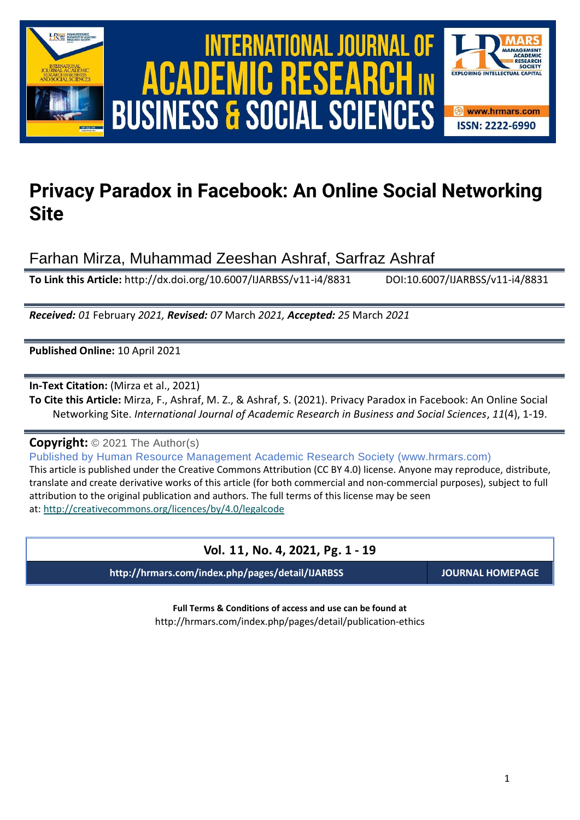



# **Privacy Paradox in Facebook: An Online Social Networking Site**

Farhan Mirza, Muhammad Zeeshan Ashraf, Sarfraz Ashraf

**To Link this Article:** http://dx.doi.org/10.6007/IJARBSS/v11-i4/8831 DOI:10.6007/IJARBSS/v11-i4/8831

*Received: 01* February *2021, Revised: 07* March *2021, Accepted: 25* March *2021*

**Published Online:** 10 April 2021

**In-Text Citation:** (Mirza et al., 2021)

**To Cite this Article:** Mirza, F., Ashraf, M. Z., & Ashraf, S. (2021). Privacy Paradox in Facebook: An Online Social Networking Site. *International Journal of Academic Research in Business and Social Sciences*, *11*(4), 1-19.

**Copyright:** © 2021 The Author(s)

Published by Human Resource Management Academic Research Society (www.hrmars.com) This article is published under the Creative Commons Attribution (CC BY 4.0) license. Anyone may reproduce, distribute, translate and create derivative works of this article (for both commercial and non-commercial purposes), subject to full attribution to the original publication and authors. The full terms of this license may be seen at: <http://creativecommons.org/licences/by/4.0/legalcode>

# **Vol. 11, No. 4, 2021, Pg. 1 - 19**

**http://hrmars.com/index.php/pages/detail/IJARBSS JOURNAL HOMEPAGE**

**Full Terms & Conditions of access and use can be found at** http://hrmars.com/index.php/pages/detail/publication-ethics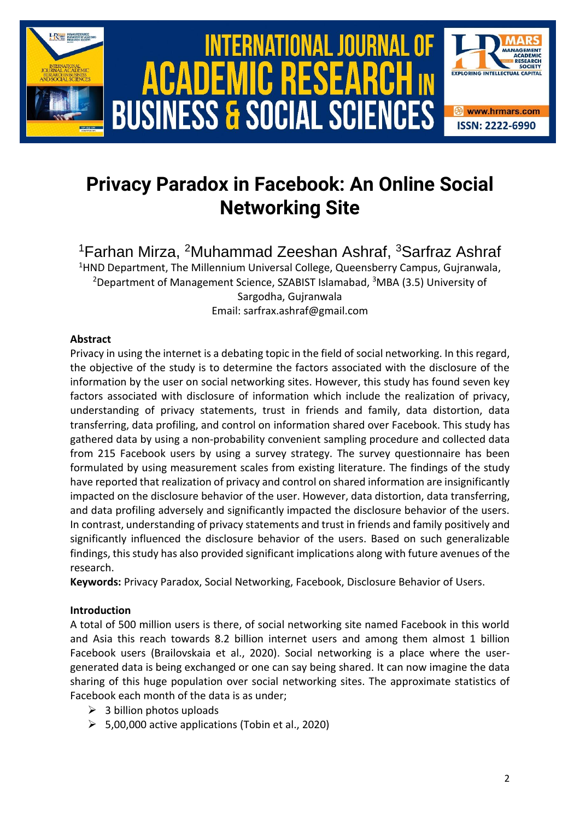

# **Privacy Paradox in Facebook: An Online Social Networking Site**

<sup>1</sup>Farhan Mirza, <sup>2</sup>Muhammad Zeeshan Ashraf, <sup>3</sup>Sarfraz Ashraf <sup>1</sup>HND Department, The Millennium Universal College, Queensberry Campus, Gujranwala, <sup>2</sup>Department of Management Science, SZABIST Islamabad, <sup>3</sup>MBA (3.5) University of

Sargodha, Gujranwala

Email: sarfrax.ashraf@gmail.com

# **Abstract**

Privacy in using the internet is a debating topic in the field of social networking. In this regard, the objective of the study is to determine the factors associated with the disclosure of the information by the user on social networking sites. However, this study has found seven key factors associated with disclosure of information which include the realization of privacy, understanding of privacy statements, trust in friends and family, data distortion, data transferring, data profiling, and control on information shared over Facebook. This study has gathered data by using a non-probability convenient sampling procedure and collected data from 215 Facebook users by using a survey strategy. The survey questionnaire has been formulated by using measurement scales from existing literature. The findings of the study have reported that realization of privacy and control on shared information are insignificantly impacted on the disclosure behavior of the user. However, data distortion, data transferring, and data profiling adversely and significantly impacted the disclosure behavior of the users. In contrast, understanding of privacy statements and trust in friends and family positively and significantly influenced the disclosure behavior of the users. Based on such generalizable findings, this study has also provided significant implications along with future avenues of the research.

**Keywords:** Privacy Paradox, Social Networking, Facebook, Disclosure Behavior of Users.

# **Introduction**

A total of 500 million users is there, of social networking site named Facebook in this world and Asia this reach towards 8.2 billion internet users and among them almost 1 billion Facebook users (Brailovskaia et al., 2020). Social networking is a place where the usergenerated data is being exchanged or one can say being shared. It can now imagine the data sharing of this huge population over social networking sites. The approximate statistics of Facebook each month of the data is as under;

- $\geq$  3 billion photos uploads
- $\geq$  5,00,000 active applications (Tobin et al., 2020)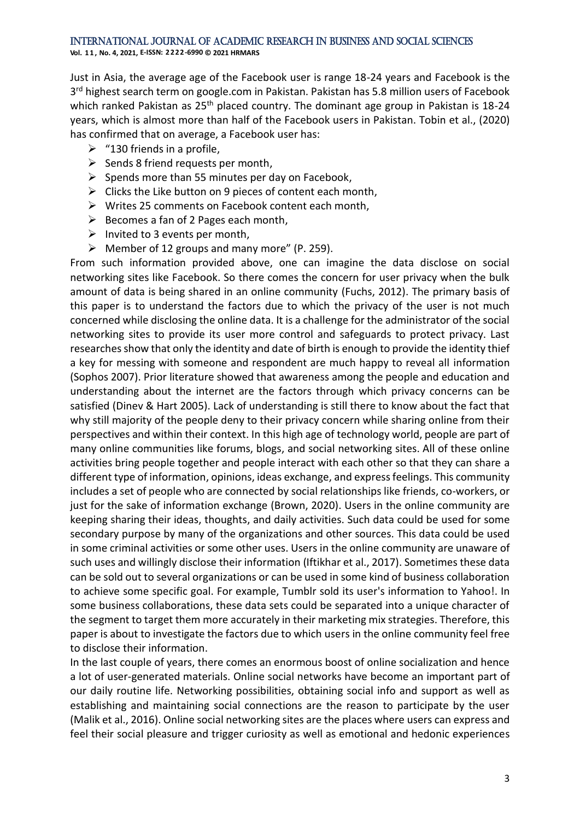**Vol. 1 1 , No. 4, 2021, E-ISSN: 2222-6990 © 2021 HRMARS**

Just in Asia, the average age of the Facebook user is range 18-24 years and Facebook is the 3<sup>rd</sup> highest search term on google.com in Pakistan. Pakistan has 5.8 million users of Facebook which ranked Pakistan as 25<sup>th</sup> placed country. The dominant age group in Pakistan is 18-24 years, which is almost more than half of the Facebook users in Pakistan. Tobin et al., (2020) has confirmed that on average, a Facebook user has:

- $\triangleright$  "130 friends in a profile,
- $\triangleright$  Sends 8 friend requests per month,
- $\triangleright$  Spends more than 55 minutes per day on Facebook,
- $\triangleright$  Clicks the Like button on 9 pieces of content each month,
- ➢ Writes 25 comments on Facebook content each month,
- $\triangleright$  Becomes a fan of 2 Pages each month,
- $\triangleright$  Invited to 3 events per month,
- $\triangleright$  Member of 12 groups and many more" (P. 259).

From such information provided above, one can imagine the data disclose on social networking sites like Facebook. So there comes the concern for user privacy when the bulk amount of data is being shared in an online community (Fuchs, 2012). The primary basis of this paper is to understand the factors due to which the privacy of the user is not much concerned while disclosing the online data. It is a challenge for the administrator of the social networking sites to provide its user more control and safeguards to protect privacy. Last researches show that only the identity and date of birth is enough to provide the identity thief a key for messing with someone and respondent are much happy to reveal all information (Sophos 2007). Prior literature showed that awareness among the people and education and understanding about the internet are the factors through which privacy concerns can be satisfied (Dinev & Hart 2005). Lack of understanding is still there to know about the fact that why still majority of the people deny to their privacy concern while sharing online from their perspectives and within their context. In this high age of technology world, people are part of many online communities like forums, blogs, and social networking sites. All of these online activities bring people together and people interact with each other so that they can share a different type of information, opinions, ideas exchange, and express feelings. This community includes a set of people who are connected by social relationships like friends, co-workers, or just for the sake of information exchange (Brown, 2020). Users in the online community are keeping sharing their ideas, thoughts, and daily activities. Such data could be used for some secondary purpose by many of the organizations and other sources. This data could be used in some criminal activities or some other uses. Users in the online community are unaware of such uses and willingly disclose their information (Iftikhar et al., 2017). Sometimes these data can be sold out to several organizations or can be used in some kind of business collaboration to achieve some specific goal. For example, Tumblr sold its user's information to Yahoo!. In some business collaborations, these data sets could be separated into a unique character of the segment to target them more accurately in their marketing mix strategies. Therefore, this paper is about to investigate the factors due to which users in the online community feel free to disclose their information.

In the last couple of years, there comes an enormous boost of online socialization and hence a lot of user-generated materials. Online social networks have become an important part of our daily routine life. Networking possibilities, obtaining social info and support as well as establishing and maintaining social connections are the reason to participate by the user (Malik et al., 2016). Online social networking sites are the places where users can express and feel their social pleasure and trigger curiosity as well as emotional and hedonic experiences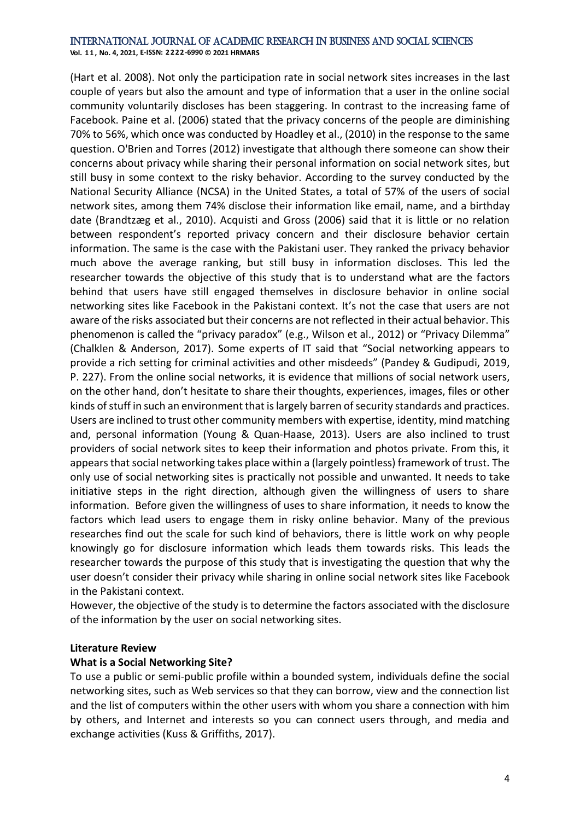**Vol. 1 1 , No. 4, 2021, E-ISSN: 2222-6990 © 2021 HRMARS**

(Hart et al. 2008). Not only the participation rate in social network sites increases in the last couple of years but also the amount and type of information that a user in the online social community voluntarily discloses has been staggering. In contrast to the increasing fame of Facebook. Paine et al. (2006) stated that the privacy concerns of the people are diminishing 70% to 56%, which once was conducted by Hoadley et al., (2010) in the response to the same question. O'Brien and Torres (2012) investigate that although there someone can show their concerns about privacy while sharing their personal information on social network sites, but still busy in some context to the risky behavior. According to the survey conducted by the National Security Alliance (NCSA) in the United States, a total of 57% of the users of social network sites, among them 74% disclose their information like email, name, and a birthday date (Brandtzæg et al., 2010). Acquisti and Gross (2006) said that it is little or no relation between respondent's reported privacy concern and their disclosure behavior certain information. The same is the case with the Pakistani user. They ranked the privacy behavior much above the average ranking, but still busy in information discloses. This led the researcher towards the objective of this study that is to understand what are the factors behind that users have still engaged themselves in disclosure behavior in online social networking sites like Facebook in the Pakistani context. It's not the case that users are not aware of the risks associated but their concerns are not reflected in their actual behavior. This phenomenon is called the "privacy paradox" (e.g., Wilson et al., 2012) or "Privacy Dilemma" (Chalklen & Anderson, 2017). Some experts of IT said that "Social networking appears to provide a rich setting for criminal activities and other misdeeds" (Pandey & Gudipudi, 2019, P. 227). From the online social networks, it is evidence that millions of social network users, on the other hand, don't hesitate to share their thoughts, experiences, images, files or other kinds of stuff in such an environment that is largely barren of security standards and practices. Users are inclined to trust other community members with expertise, identity, mind matching and, personal information (Young & Quan-Haase, 2013). Users are also inclined to trust providers of social network sites to keep their information and photos private. From this, it appears that social networking takes place within a (largely pointless) framework of trust. The only use of social networking sites is practically not possible and unwanted. It needs to take initiative steps in the right direction, although given the willingness of users to share information. Before given the willingness of uses to share information, it needs to know the factors which lead users to engage them in risky online behavior. Many of the previous researches find out the scale for such kind of behaviors, there is little work on why people knowingly go for disclosure information which leads them towards risks. This leads the researcher towards the purpose of this study that is investigating the question that why the user doesn't consider their privacy while sharing in online social network sites like Facebook in the Pakistani context.

However, the objective of the study is to determine the factors associated with the disclosure of the information by the user on social networking sites.

# **Literature Review**

# **What is a Social Networking Site?**

To use a public or semi-public profile within a bounded system, individuals define the social networking sites, such as Web services so that they can borrow, view and the connection list and the list of computers within the other users with whom you share a connection with him by others, and Internet and interests so you can connect users through, and media and exchange activities (Kuss & Griffiths, 2017).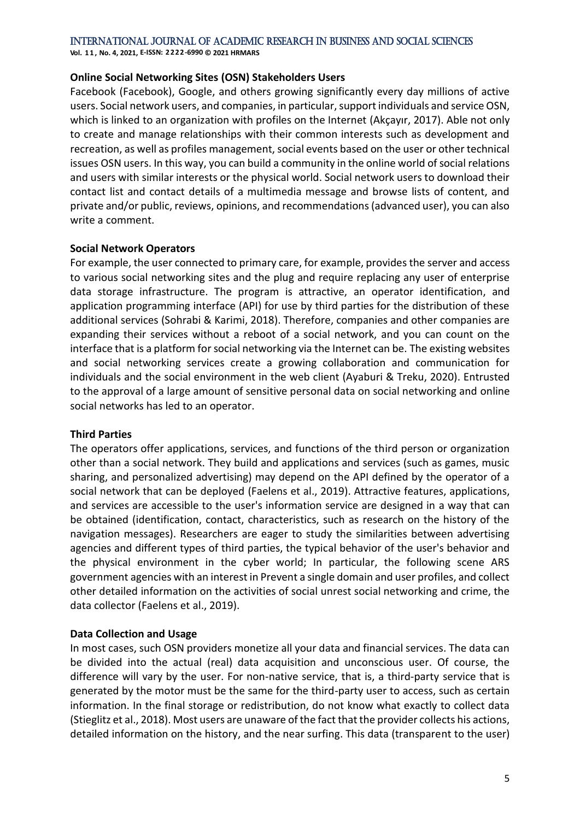**Vol. 1 1 , No. 4, 2021, E-ISSN: 2222-6990 © 2021 HRMARS**

### **Online Social Networking Sites (OSN) Stakeholders Users**

Facebook (Facebook), Google, and others growing significantly every day millions of active users. Social network users, and companies, in particular, support individuals and service OSN, which is linked to an organization with profiles on the Internet (Akçayır, 2017). Able not only to create and manage relationships with their common interests such as development and recreation, as well as profiles management, social events based on the user or other technical issues OSN users. In this way, you can build a community in the online world of social relations and users with similar interests or the physical world. Social network users to download their contact list and contact details of a multimedia message and browse lists of content, and private and/or public, reviews, opinions, and recommendations (advanced user), you can also write a comment.

# **Social Network Operators**

For example, the user connected to primary care, for example, provides the server and access to various social networking sites and the plug and require replacing any user of enterprise data storage infrastructure. The program is attractive, an operator identification, and application programming interface (API) for use by third parties for the distribution of these additional services (Sohrabi & Karimi, 2018). Therefore, companies and other companies are expanding their services without a reboot of a social network, and you can count on the interface that is a platform for social networking via the Internet can be. The existing websites and social networking services create a growing collaboration and communication for individuals and the social environment in the web client (Ayaburi & Treku, 2020). Entrusted to the approval of a large amount of sensitive personal data on social networking and online social networks has led to an operator.

# **Third Parties**

The operators offer applications, services, and functions of the third person or organization other than a social network. They build and applications and services (such as games, music sharing, and personalized advertising) may depend on the API defined by the operator of a social network that can be deployed (Faelens et al., 2019). Attractive features, applications, and services are accessible to the user's information service are designed in a way that can be obtained (identification, contact, characteristics, such as research on the history of the navigation messages). Researchers are eager to study the similarities between advertising agencies and different types of third parties, the typical behavior of the user's behavior and the physical environment in the cyber world; In particular, the following scene ARS government agencies with an interest in Prevent a single domain and user profiles, and collect other detailed information on the activities of social unrest social networking and crime, the data collector (Faelens et al., 2019).

# **Data Collection and Usage**

In most cases, such OSN providers monetize all your data and financial services. The data can be divided into the actual (real) data acquisition and unconscious user. Of course, the difference will vary by the user. For non-native service, that is, a third-party service that is generated by the motor must be the same for the third-party user to access, such as certain information. In the final storage or redistribution, do not know what exactly to collect data (Stieglitz et al., 2018). Most users are unaware of the fact that the provider collects his actions, detailed information on the history, and the near surfing. This data (transparent to the user)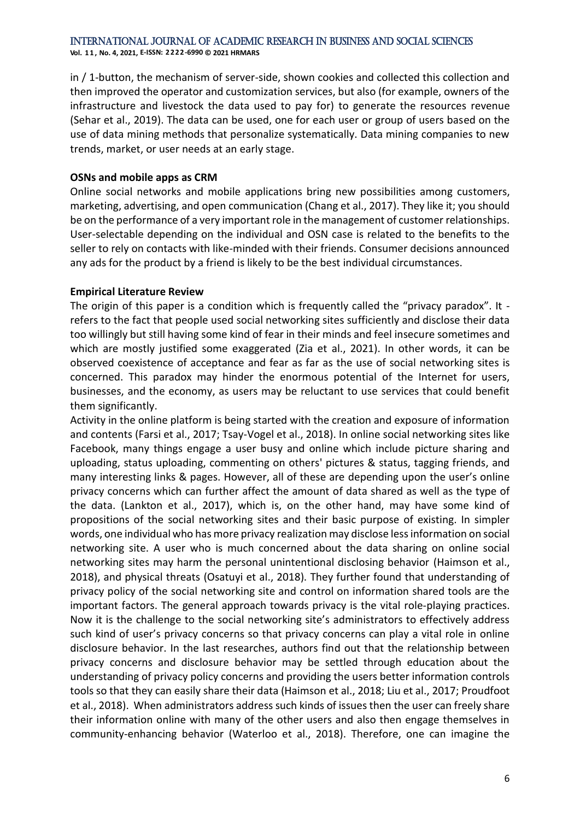**Vol. 1 1 , No. 4, 2021, E-ISSN: 2222-6990 © 2021 HRMARS**

in / 1-button, the mechanism of server-side, shown cookies and collected this collection and then improved the operator and customization services, but also (for example, owners of the infrastructure and livestock the data used to pay for) to generate the resources revenue (Sehar et al., 2019). The data can be used, one for each user or group of users based on the use of data mining methods that personalize systematically. Data mining companies to new trends, market, or user needs at an early stage.

# **OSNs and mobile apps as CRM**

Online social networks and mobile applications bring new possibilities among customers, marketing, advertising, and open communication (Chang et al., 2017). They like it; you should be on the performance of a very important role in the management of customer relationships. User-selectable depending on the individual and OSN case is related to the benefits to the seller to rely on contacts with like-minded with their friends. Consumer decisions announced any ads for the product by a friend is likely to be the best individual circumstances.

# **Empirical Literature Review**

The origin of this paper is a condition which is frequently called the "privacy paradox". It refers to the fact that people used social networking sites sufficiently and disclose their data too willingly but still having some kind of fear in their minds and feel insecure sometimes and which are mostly justified some exaggerated (Zia et al., 2021). In other words, it can be observed coexistence of acceptance and fear as far as the use of social networking sites is concerned. This paradox may hinder the enormous potential of the Internet for users, businesses, and the economy, as users may be reluctant to use services that could benefit them significantly.

Activity in the online platform is being started with the creation and exposure of information and contents (Farsi et al., 2017; Tsay-Vogel et al., 2018). In online social networking sites like Facebook, many things engage a user busy and online which include picture sharing and uploading, status uploading, commenting on others' pictures & status, tagging friends, and many interesting links & pages. However, all of these are depending upon the user's online privacy concerns which can further affect the amount of data shared as well as the type of the data. (Lankton et al., 2017), which is, on the other hand, may have some kind of propositions of the social networking sites and their basic purpose of existing. In simpler words, one individual who has more privacy realization may disclose less information on social networking site. A user who is much concerned about the data sharing on online social networking sites may harm the personal unintentional disclosing behavior (Haimson et al., 2018), and physical threats (Osatuyi et al., 2018). They further found that understanding of privacy policy of the social networking site and control on information shared tools are the important factors. The general approach towards privacy is the vital role-playing practices. Now it is the challenge to the social networking site's administrators to effectively address such kind of user's privacy concerns so that privacy concerns can play a vital role in online disclosure behavior. In the last researches, authors find out that the relationship between privacy concerns and disclosure behavior may be settled through education about the understanding of privacy policy concerns and providing the users better information controls tools so that they can easily share their data (Haimson et al., 2018; Liu et al., 2017; Proudfoot et al., 2018). When administrators address such kinds of issues then the user can freely share their information online with many of the other users and also then engage themselves in community-enhancing behavior (Waterloo et al., 2018). Therefore, one can imagine the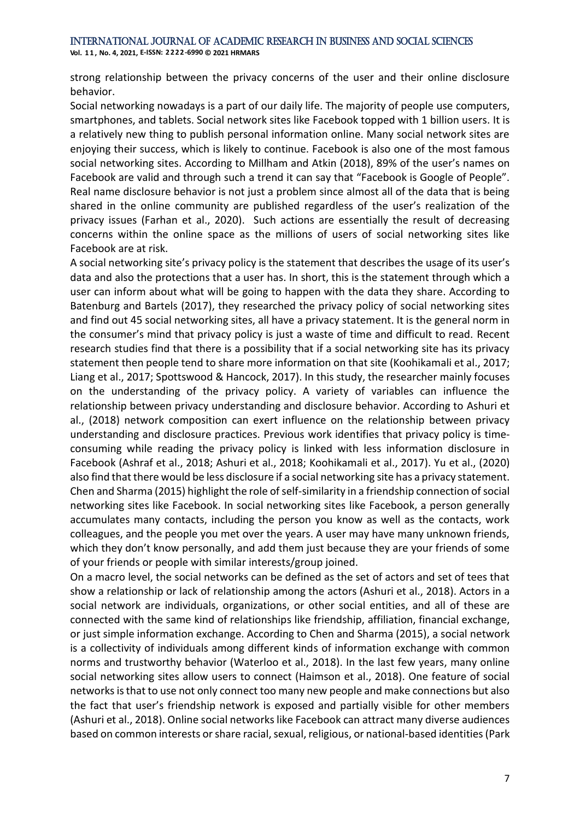**Vol. 1 1 , No. 4, 2021, E-ISSN: 2222-6990 © 2021 HRMARS**

strong relationship between the privacy concerns of the user and their online disclosure behavior.

Social networking nowadays is a part of our daily life. The majority of people use computers, smartphones, and tablets. Social network sites like Facebook topped with 1 billion users. It is a relatively new thing to publish personal information online. Many social network sites are enjoying their success, which is likely to continue. Facebook is also one of the most famous social networking sites. According to Millham and Atkin (2018), 89% of the user's names on Facebook are valid and through such a trend it can say that "Facebook is Google of People". Real name disclosure behavior is not just a problem since almost all of the data that is being shared in the online community are published regardless of the user's realization of the privacy issues (Farhan et al., 2020). Such actions are essentially the result of decreasing concerns within the online space as the millions of users of social networking sites like Facebook are at risk.

A social networking site's privacy policy is the statement that describes the usage of its user's data and also the protections that a user has. In short, this is the statement through which a user can inform about what will be going to happen with the data they share. According to Batenburg and Bartels (2017), they researched the privacy policy of social networking sites and find out 45 social networking sites, all have a privacy statement. It is the general norm in the consumer's mind that privacy policy is just a waste of time and difficult to read. Recent research studies find that there is a possibility that if a social networking site has its privacy statement then people tend to share more information on that site (Koohikamali et al., 2017; Liang et al., 2017; Spottswood & Hancock, 2017). In this study, the researcher mainly focuses on the understanding of the privacy policy. A variety of variables can influence the relationship between privacy understanding and disclosure behavior. According to Ashuri et al., (2018) network composition can exert influence on the relationship between privacy understanding and disclosure practices. Previous work identifies that privacy policy is timeconsuming while reading the privacy policy is linked with less information disclosure in Facebook (Ashraf et al., 2018; Ashuri et al., 2018; Koohikamali et al., 2017). Yu et al., (2020) also find that there would be less disclosure if a social networking site has a privacy statement. Chen and Sharma (2015) highlight the role of self-similarity in a friendship connection of social networking sites like Facebook. In social networking sites like Facebook, a person generally accumulates many contacts, including the person you know as well as the contacts, work colleagues, and the people you met over the years. A user may have many unknown friends, which they don't know personally, and add them just because they are your friends of some of your friends or people with similar interests/group joined.

On a macro level, the social networks can be defined as the set of actors and set of tees that show a relationship or lack of relationship among the actors (Ashuri et al., 2018). Actors in a social network are individuals, organizations, or other social entities, and all of these are connected with the same kind of relationships like friendship, affiliation, financial exchange, or just simple information exchange. According to Chen and Sharma (2015), a social network is a collectivity of individuals among different kinds of information exchange with common norms and trustworthy behavior (Waterloo et al., 2018). In the last few years, many online social networking sites allow users to connect (Haimson et al., 2018). One feature of social networks is that to use not only connect too many new people and make connections but also the fact that user's friendship network is exposed and partially visible for other members (Ashuri et al., 2018). Online social networks like Facebook can attract many diverse audiences based on common interests or share racial, sexual, religious, or national-based identities (Park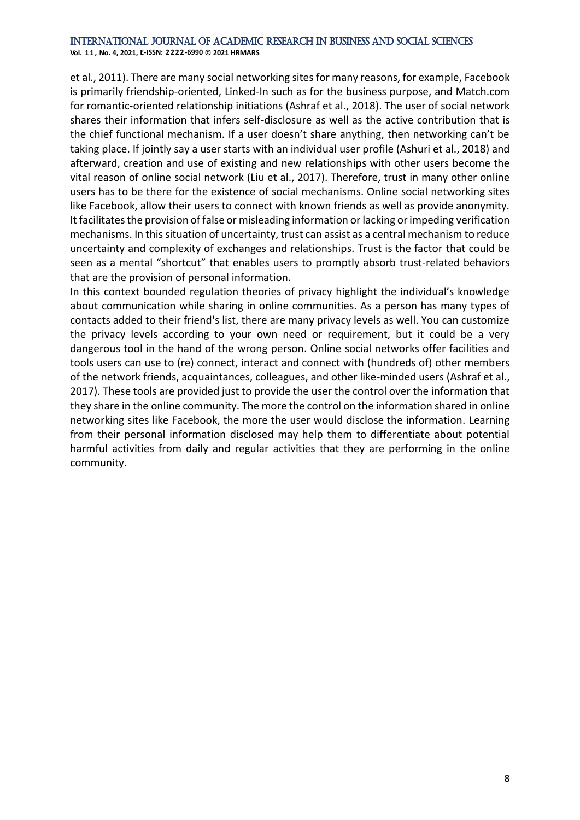**Vol. 1 1 , No. 4, 2021, E-ISSN: 2222-6990 © 2021 HRMARS**

et al., 2011). There are many social networking sites for many reasons, for example, Facebook is primarily friendship-oriented, Linked-In such as for the business purpose, and Match.com for romantic-oriented relationship initiations (Ashraf et al., 2018). The user of social network shares their information that infers self-disclosure as well as the active contribution that is the chief functional mechanism. If a user doesn't share anything, then networking can't be taking place. If jointly say a user starts with an individual user profile (Ashuri et al., 2018) and afterward, creation and use of existing and new relationships with other users become the vital reason of online social network (Liu et al., 2017). Therefore, trust in many other online users has to be there for the existence of social mechanisms. Online social networking sites like Facebook, allow their users to connect with known friends as well as provide anonymity. It facilitates the provision of false or misleading information or lacking or impeding verification mechanisms. In this situation of uncertainty, trust can assist as a central mechanism to reduce uncertainty and complexity of exchanges and relationships. Trust is the factor that could be seen as a mental "shortcut" that enables users to promptly absorb trust-related behaviors that are the provision of personal information.

In this context bounded regulation theories of privacy highlight the individual's knowledge about communication while sharing in online communities. As a person has many types of contacts added to their friend's list, there are many privacy levels as well. You can customize the privacy levels according to your own need or requirement, but it could be a very dangerous tool in the hand of the wrong person. Online social networks offer facilities and tools users can use to (re) connect, interact and connect with (hundreds of) other members of the network friends, acquaintances, colleagues, and other like-minded users (Ashraf et al., 2017). These tools are provided just to provide the user the control over the information that they share in the online community. The more the control on the information shared in online networking sites like Facebook, the more the user would disclose the information. Learning from their personal information disclosed may help them to differentiate about potential harmful activities from daily and regular activities that they are performing in the online community.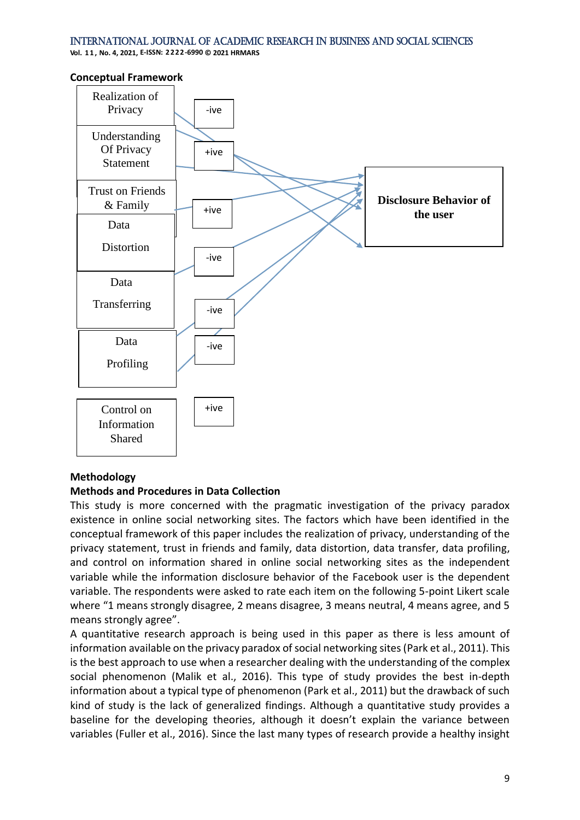**Vol. 1 1 , No. 4, 2021, E-ISSN: 2222-6990 © 2021 HRMARS**





# **Methodology**

# **Methods and Procedures in Data Collection**

This study is more concerned with the pragmatic investigation of the privacy paradox existence in online social networking sites. The factors which have been identified in the conceptual framework of this paper includes the realization of privacy, understanding of the privacy statement, trust in friends and family, data distortion, data transfer, data profiling, and control on information shared in online social networking sites as the independent variable while the information disclosure behavior of the Facebook user is the dependent variable. The respondents were asked to rate each item on the following 5-point Likert scale where "1 means strongly disagree, 2 means disagree, 3 means neutral, 4 means agree, and 5 means strongly agree".

A quantitative research approach is being used in this paper as there is less amount of information available on the privacy paradox of social networking sites (Park et al., 2011). This is the best approach to use when a researcher dealing with the understanding of the complex social phenomenon (Malik et al., 2016). This type of study provides the best in-depth information about a typical type of phenomenon (Park et al., 2011) but the drawback of such kind of study is the lack of generalized findings. Although a quantitative study provides a baseline for the developing theories, although it doesn't explain the variance between variables (Fuller et al., 2016). Since the last many types of research provide a healthy insight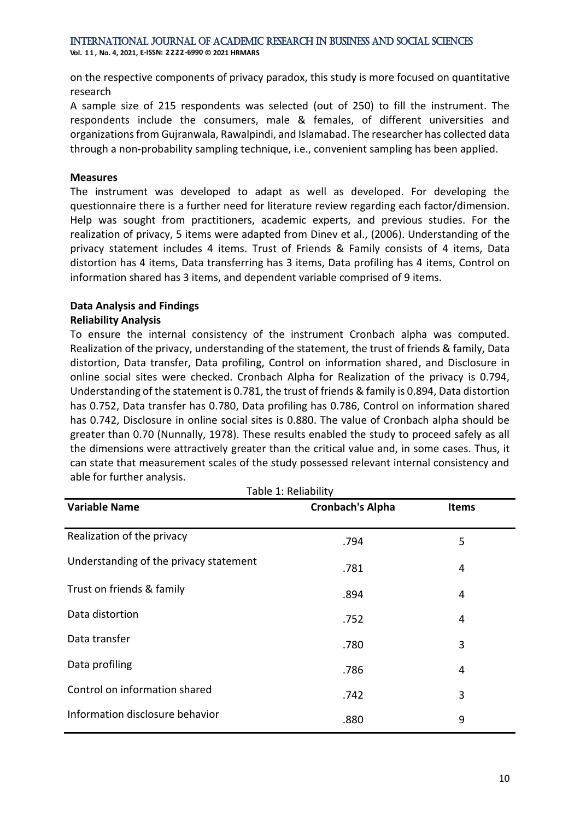**Vol. 1 1 , No. 4, 2021, E-ISSN: 2222-6990 © 2021 HRMARS**

on the respective components of privacy paradox, this study is more focused on quantitative research

A sample size of 215 respondents was selected (out of 250) to fill the instrument. The respondents include the consumers, male & females, of different universities and organizations from Gujranwala, Rawalpindi, and Islamabad. The researcher has collected data through a non-probability sampling technique, i.e., convenient sampling has been applied.

### **Measures**

The instrument was developed to adapt as well as developed. For developing the questionnaire there is a further need for literature review regarding each factor/dimension. Help was sought from practitioners, academic experts, and previous studies. For the realization of privacy, 5 items were adapted from Dinev et al., (2006). Understanding of the privacy statement includes 4 items. Trust of Friends & Family consists of 4 items, Data distortion has 4 items, Data transferring has 3 items, Data profiling has 4 items, Control on information shared has 3 items, and dependent variable comprised of 9 items.

# **Data Analysis and Findings**

# **Reliability Analysis**

To ensure the internal consistency of the instrument Cronbach alpha was computed. Realization of the privacy, understanding of the statement, the trust of friends & family, Data distortion, Data transfer, Data profiling, Control on information shared, and Disclosure in online social sites were checked. Cronbach Alpha for Realization of the privacy is 0.794, Understanding of the statement is 0.781, the trust of friends & family is 0.894, Data distortion has 0.752, Data transfer has 0.780, Data profiling has 0.786, Control on information shared has 0.742, Disclosure in online social sites is 0.880. The value of Cronbach alpha should be greater than 0.70 (Nunnally, 1978). These results enabled the study to proceed safely as all the dimensions were attractively greater than the critical value and, in some cases. Thus, it can state that measurement scales of the study possessed relevant internal consistency and able for further analysis.

| Table 1: Reliability                   |                         |              |  |  |
|----------------------------------------|-------------------------|--------------|--|--|
| <b>Variable Name</b>                   | <b>Cronbach's Alpha</b> | <b>Items</b> |  |  |
| Realization of the privacy             | .794                    | 5            |  |  |
| Understanding of the privacy statement | .781                    | 4            |  |  |
| Trust on friends & family              | .894                    | 4            |  |  |
| Data distortion                        | .752                    | 4            |  |  |
| Data transfer                          | .780                    | 3            |  |  |
| Data profiling                         | .786                    | 4            |  |  |
| Control on information shared          | .742                    | 3            |  |  |
| Information disclosure behavior        | .880                    | 9            |  |  |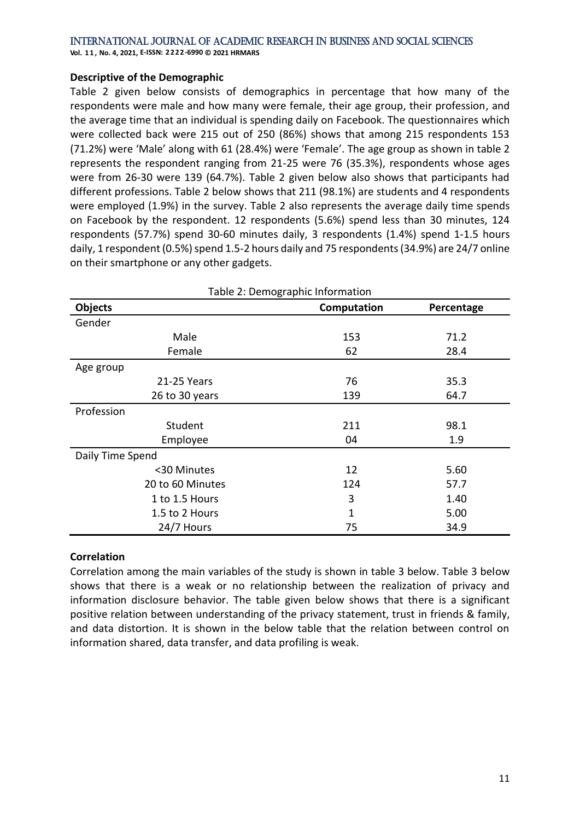**Vol. 1 1 , No. 4, 2021, E-ISSN: 2222-6990 © 2021 HRMARS**

### **Descriptive of the Demographic**

Table 2 given below consists of demographics in percentage that how many of the respondents were male and how many were female, their age group, their profession, and the average time that an individual is spending daily on Facebook. The questionnaires which were collected back were 215 out of 250 (86%) shows that among 215 respondents 153 (71.2%) were 'Male' along with 61 (28.4%) were 'Female'. The age group as shown in table 2 represents the respondent ranging from 21-25 were 76 (35.3%), respondents whose ages were from 26-30 were 139 (64.7%). Table 2 given below also shows that participants had different professions. Table 2 below shows that 211 (98.1%) are students and 4 respondents were employed (1.9%) in the survey. Table 2 also represents the average daily time spends on Facebook by the respondent. 12 respondents (5.6%) spend less than 30 minutes, 124 respondents (57.7%) spend 30-60 minutes daily, 3 respondents (1.4%) spend 1-1.5 hours daily, 1 respondent (0.5%) spend 1.5-2 hours daily and 75 respondents(34.9%) are 24/7 online on their smartphone or any other gadgets.

| Table 2: Demographic Information |             |            |  |  |
|----------------------------------|-------------|------------|--|--|
| Objects                          | Computation | Percentage |  |  |
| Gender                           |             |            |  |  |
| Male                             | 153         | 71.2       |  |  |
| Female                           | 62          | 28.4       |  |  |
| Age group                        |             |            |  |  |
| 21-25 Years                      | 76          | 35.3       |  |  |
| 26 to 30 years                   | 139         | 64.7       |  |  |
| Profession                       |             |            |  |  |
| Student                          | 211         | 98.1       |  |  |
| Employee                         | 04          | 1.9        |  |  |
| Daily Time Spend                 |             |            |  |  |
| <30 Minutes                      | 12          | 5.60       |  |  |
| 20 to 60 Minutes                 | 124         | 57.7       |  |  |
| 1 to 1.5 Hours                   | 3           | 1.40       |  |  |
| 1.5 to 2 Hours                   | $\mathbf 1$ | 5.00       |  |  |
| 24/7 Hours                       | 75          | 34.9       |  |  |

# **Correlation**

Correlation among the main variables of the study is shown in table 3 below. Table 3 below shows that there is a weak or no relationship between the realization of privacy and information disclosure behavior. The table given below shows that there is a significant positive relation between understanding of the privacy statement, trust in friends & family, and data distortion. It is shown in the below table that the relation between control on information shared, data transfer, and data profiling is weak.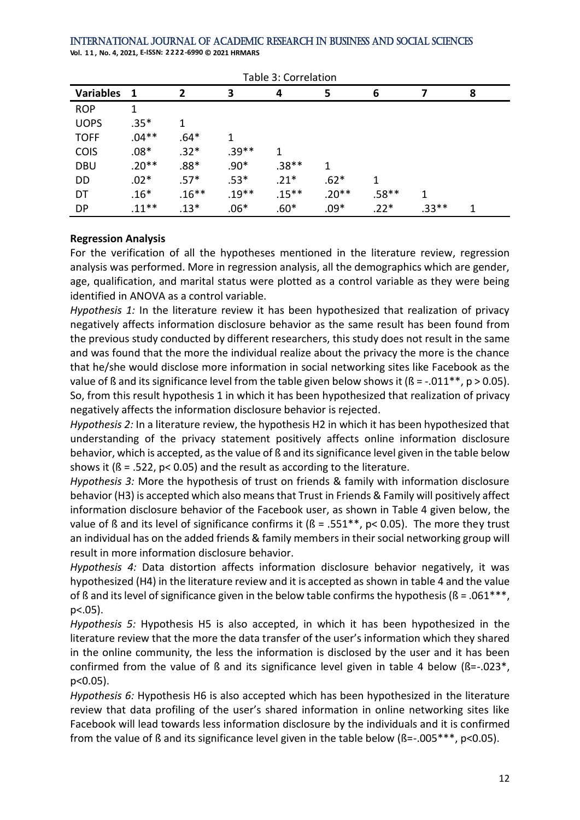**Vol. 1 1 , No. 4, 2021, E-ISSN: 2222-6990 © 2021 HRMARS**

| Table 3: Correlation |          |                |         |          |         |         |         |   |
|----------------------|----------|----------------|---------|----------|---------|---------|---------|---|
| <b>Variables</b>     | -1       | $\overline{2}$ | 3       | 4        | 5       | 6       | 7       | 8 |
| <b>ROP</b>           | 1        |                |         |          |         |         |         |   |
| <b>UOPS</b>          | $.35*$   | 1              |         |          |         |         |         |   |
| <b>TOFF</b>          | $.04**$  | $.64*$         | 1       |          |         |         |         |   |
| <b>COIS</b>          | $.08*$   | $.32*$         | $.39**$ | 1        |         |         |         |   |
| <b>DBU</b>           | $.20**$  | $.88*$         | $.90*$  | $.38**$  | 1       |         |         |   |
| DD                   | $.02*$   | $.57*$         | $.53*$  | $.21*$   | $.62*$  | 1       |         |   |
| DT                   | $.16*$   | $.16**$        | $.19**$ | $.15***$ | $.20**$ | $.58**$ | 1       |   |
| <b>DP</b>            | $.11***$ | $.13*$         | $.06*$  | $.60*$   | $.09*$  | $.22*$  | $.33**$ | 1 |

# **Regression Analysis**

For the verification of all the hypotheses mentioned in the literature review, regression analysis was performed. More in regression analysis, all the demographics which are gender, age, qualification, and marital status were plotted as a control variable as they were being identified in ANOVA as a control variable.

*Hypothesis 1:* In the literature review it has been hypothesized that realization of privacy negatively affects information disclosure behavior as the same result has been found from the previous study conducted by different researchers, this study does not result in the same and was found that the more the individual realize about the privacy the more is the chance that he/she would disclose more information in social networking sites like Facebook as the value of  $\beta$  and its significance level from the table given below shows it ( $\beta$  = -.011\*\*, p > 0.05). So, from this result hypothesis 1 in which it has been hypothesized that realization of privacy negatively affects the information disclosure behavior is rejected.

*Hypothesis 2:* In a literature review, the hypothesis H2 in which it has been hypothesized that understanding of the privacy statement positively affects online information disclosure behavior, which is accepted, as the value of ß and its significance level given in the table below shows it ( $\beta$  = .522,  $p$ < 0.05) and the result as according to the literature.

*Hypothesis 3:* More the hypothesis of trust on friends & family with information disclosure behavior (H3) is accepted which also means that Trust in Friends & Family will positively affect information disclosure behavior of the Facebook user, as shown in Table 4 given below, the value of ß and its level of significance confirms it ( $\beta$  = .551\*\*, p< 0.05). The more they trust an individual has on the added friends & family members in their social networking group will result in more information disclosure behavior.

*Hypothesis 4:* Data distortion affects information disclosure behavior negatively, it was hypothesized (H4) in the literature review and it is accepted as shown in table 4 and the value of ß and its level of significance given in the below table confirms the hypothesis ( $\beta$  = .061\*\*\*, p<.05).

*Hypothesis 5:* Hypothesis H5 is also accepted, in which it has been hypothesized in the literature review that the more the data transfer of the user's information which they shared in the online community, the less the information is disclosed by the user and it has been confirmed from the value of  $\beta$  and its significance level given in table 4 below  $(\beta=-.023^*)$ . p<0.05).

*Hypothesis 6:* Hypothesis H6 is also accepted which has been hypothesized in the literature review that data profiling of the user's shared information in online networking sites like Facebook will lead towards less information disclosure by the individuals and it is confirmed from the value of ß and its significance level given in the table below (ß=-.005\*\*\*, p<0.05).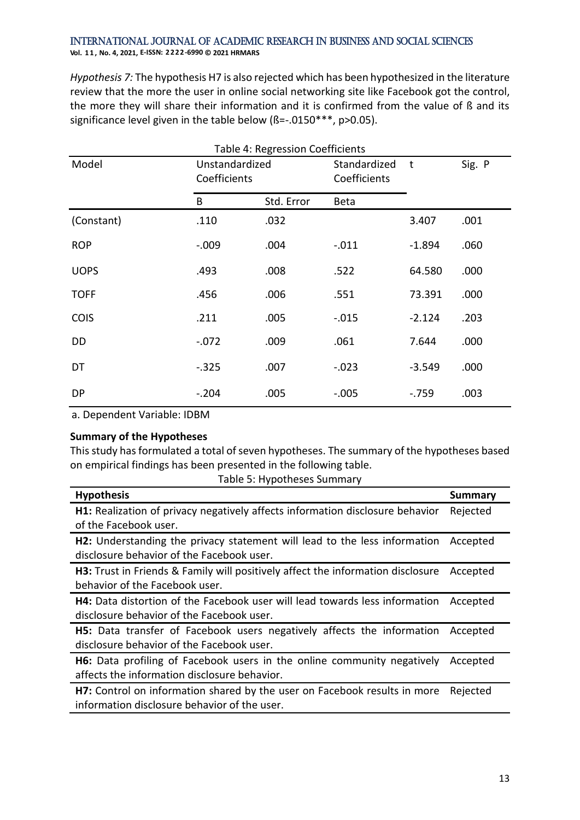### International Journal of Academic Research in Business and Social Sciences **Vol. 1 1 , No. 4, 2021, E-ISSN: 2222-6990 © 2021 HRMARS**

*Hypothesis 7:* The hypothesis H7 is also rejected which has been hypothesized in the literature review that the more the user in online social networking site like Facebook got the control, the more they will share their information and it is confirmed from the value of ß and its significance level given in the table below (ß=-.0150\*\*\*, p>0.05).

| Table 4: Regression Coefficients |                                |            |                              |          |        |  |
|----------------------------------|--------------------------------|------------|------------------------------|----------|--------|--|
| Model                            | Unstandardized<br>Coefficients |            | Standardized<br>Coefficients | t        | Sig. P |  |
|                                  | B                              | Std. Error | <b>Beta</b>                  |          |        |  |
| (Constant)                       | .110                           | .032       |                              | 3.407    | .001   |  |
| <b>ROP</b>                       | $-.009$                        | .004       | $-.011$                      | $-1.894$ | .060   |  |
| <b>UOPS</b>                      | .493                           | .008       | .522                         | 64.580   | .000   |  |
| <b>TOFF</b>                      | .456                           | .006       | .551                         | 73.391   | .000   |  |
| <b>COIS</b>                      | .211                           | .005       | $-.015$                      | $-2.124$ | .203   |  |
| DD                               | $-.072$                        | .009       | .061                         | 7.644    | .000   |  |
| DT                               | $-.325$                        | .007       | $-.023$                      | $-3.549$ | .000   |  |
| <b>DP</b>                        | $-.204$                        | .005       | $-.005$                      | $-.759$  | .003   |  |

a. Dependent Variable: IDBM

# **Summary of the Hypotheses**

This study has formulated a total of seven hypotheses. The summary of the hypotheses based on empirical findings has been presented in the following table.

|  | Table 5: Hypotheses Summary |  |
|--|-----------------------------|--|
|--|-----------------------------|--|

| <b>Hypothesis</b>                                                                    | Summary  |
|--------------------------------------------------------------------------------------|----------|
| <b>H1:</b> Realization of privacy negatively affects information disclosure behavior | Rejected |
| of the Facebook user.                                                                |          |
| H2: Understanding the privacy statement will lead to the less information            | Accepted |
| disclosure behavior of the Facebook user.                                            |          |
| H3: Trust in Friends & Family will positively affect the information disclosure      | Accepted |
| behavior of the Facebook user.                                                       |          |
| H4: Data distortion of the Facebook user will lead towards less information          | Accepted |
| disclosure behavior of the Facebook user.                                            |          |
| H5: Data transfer of Facebook users negatively affects the information               | Accepted |
| disclosure behavior of the Facebook user.                                            |          |
| H6: Data profiling of Facebook users in the online community negatively              | Accepted |
| affects the information disclosure behavior.                                         |          |
| H7: Control on information shared by the user on Facebook results in more            | Rejected |
| information disclosure behavior of the user.                                         |          |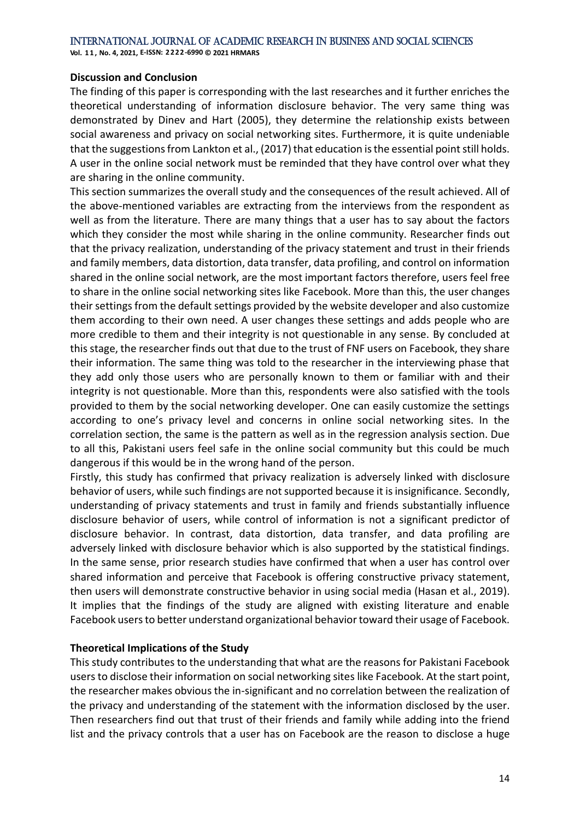**Vol. 1 1 , No. 4, 2021, E-ISSN: 2222-6990 © 2021 HRMARS**

### **Discussion and Conclusion**

The finding of this paper is corresponding with the last researches and it further enriches the theoretical understanding of information disclosure behavior. The very same thing was demonstrated by Dinev and Hart (2005), they determine the relationship exists between social awareness and privacy on social networking sites. Furthermore, it is quite undeniable that the suggestions from Lankton et al., (2017) that education is the essential point still holds. A user in the online social network must be reminded that they have control over what they are sharing in the online community.

This section summarizes the overall study and the consequences of the result achieved. All of the above-mentioned variables are extracting from the interviews from the respondent as well as from the literature. There are many things that a user has to say about the factors which they consider the most while sharing in the online community. Researcher finds out that the privacy realization, understanding of the privacy statement and trust in their friends and family members, data distortion, data transfer, data profiling, and control on information shared in the online social network, are the most important factors therefore, users feel free to share in the online social networking sites like Facebook. More than this, the user changes their settings from the default settings provided by the website developer and also customize them according to their own need. A user changes these settings and adds people who are more credible to them and their integrity is not questionable in any sense. By concluded at this stage, the researcher finds out that due to the trust of FNF users on Facebook, they share their information. The same thing was told to the researcher in the interviewing phase that they add only those users who are personally known to them or familiar with and their integrity is not questionable. More than this, respondents were also satisfied with the tools provided to them by the social networking developer. One can easily customize the settings according to one's privacy level and concerns in online social networking sites. In the correlation section, the same is the pattern as well as in the regression analysis section. Due to all this, Pakistani users feel safe in the online social community but this could be much dangerous if this would be in the wrong hand of the person.

Firstly, this study has confirmed that privacy realization is adversely linked with disclosure behavior of users, while such findings are not supported because it is insignificance. Secondly, understanding of privacy statements and trust in family and friends substantially influence disclosure behavior of users, while control of information is not a significant predictor of disclosure behavior. In contrast, data distortion, data transfer, and data profiling are adversely linked with disclosure behavior which is also supported by the statistical findings. In the same sense, prior research studies have confirmed that when a user has control over shared information and perceive that Facebook is offering constructive privacy statement, then users will demonstrate constructive behavior in using social media (Hasan et al., 2019). It implies that the findings of the study are aligned with existing literature and enable Facebook users to better understand organizational behavior toward their usage of Facebook.

# **Theoretical Implications of the Study**

This study contributes to the understanding that what are the reasons for Pakistani Facebook users to disclose their information on social networking sites like Facebook. At the start point, the researcher makes obvious the in-significant and no correlation between the realization of the privacy and understanding of the statement with the information disclosed by the user. Then researchers find out that trust of their friends and family while adding into the friend list and the privacy controls that a user has on Facebook are the reason to disclose a huge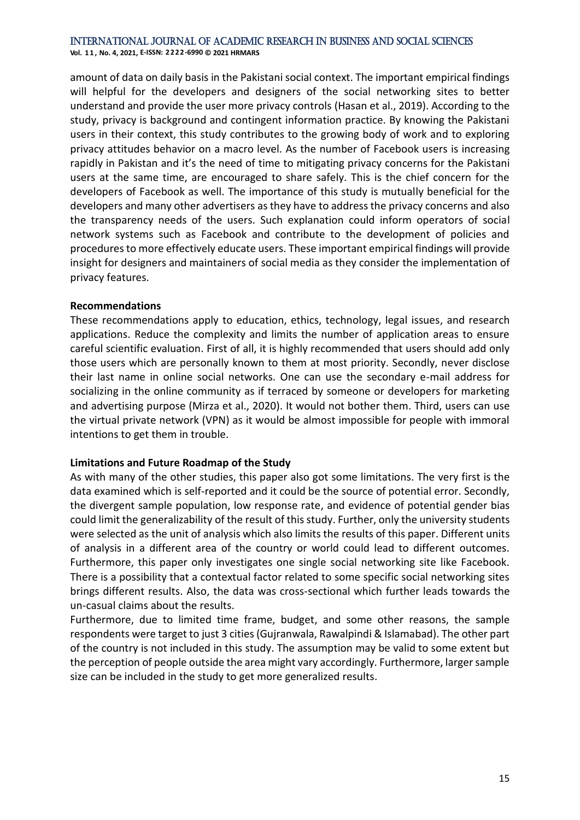**Vol. 1 1 , No. 4, 2021, E-ISSN: 2222-6990 © 2021 HRMARS**

amount of data on daily basis in the Pakistani social context. The important empirical findings will helpful for the developers and designers of the social networking sites to better understand and provide the user more privacy controls (Hasan et al., 2019). According to the study, privacy is background and contingent information practice. By knowing the Pakistani users in their context, this study contributes to the growing body of work and to exploring privacy attitudes behavior on a macro level. As the number of Facebook users is increasing rapidly in Pakistan and it's the need of time to mitigating privacy concerns for the Pakistani users at the same time, are encouraged to share safely. This is the chief concern for the developers of Facebook as well. The importance of this study is mutually beneficial for the developers and many other advertisers as they have to address the privacy concerns and also the transparency needs of the users. Such explanation could inform operators of social network systems such as Facebook and contribute to the development of policies and procedures to more effectively educate users. These important empirical findings will provide insight for designers and maintainers of social media as they consider the implementation of privacy features.

# **Recommendations**

These recommendations apply to education, ethics, technology, legal issues, and research applications. Reduce the complexity and limits the number of application areas to ensure careful scientific evaluation. First of all, it is highly recommended that users should add only those users which are personally known to them at most priority. Secondly, never disclose their last name in online social networks. One can use the secondary e-mail address for socializing in the online community as if terraced by someone or developers for marketing and advertising purpose (Mirza et al., 2020). It would not bother them. Third, users can use the virtual private network (VPN) as it would be almost impossible for people with immoral intentions to get them in trouble.

# **Limitations and Future Roadmap of the Study**

As with many of the other studies, this paper also got some limitations. The very first is the data examined which is self-reported and it could be the source of potential error. Secondly, the divergent sample population, low response rate, and evidence of potential gender bias could limit the generalizability of the result of this study. Further, only the university students were selected as the unit of analysis which also limits the results of this paper. Different units of analysis in a different area of the country or world could lead to different outcomes. Furthermore, this paper only investigates one single social networking site like Facebook. There is a possibility that a contextual factor related to some specific social networking sites brings different results. Also, the data was cross-sectional which further leads towards the un-casual claims about the results.

Furthermore, due to limited time frame, budget, and some other reasons, the sample respondents were target to just 3 cities (Gujranwala, Rawalpindi & Islamabad). The other part of the country is not included in this study. The assumption may be valid to some extent but the perception of people outside the area might vary accordingly. Furthermore, larger sample size can be included in the study to get more generalized results.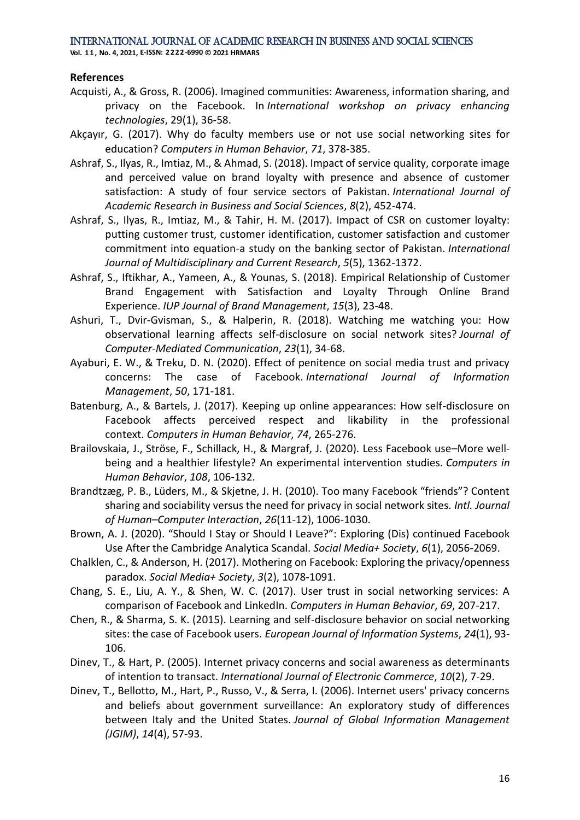**Vol. 1 1 , No. 4, 2021, E-ISSN: 2222-6990 © 2021 HRMARS**

### **References**

- Acquisti, A., & Gross, R. (2006). Imagined communities: Awareness, information sharing, and privacy on the Facebook. In *International workshop on privacy enhancing technologies*, 29(1), 36-58.
- Akçayır, G. (2017). Why do faculty members use or not use social networking sites for education? *Computers in Human Behavior*, *71*, 378-385.
- Ashraf, S., Ilyas, R., Imtiaz, M., & Ahmad, S. (2018). Impact of service quality, corporate image and perceived value on brand loyalty with presence and absence of customer satisfaction: A study of four service sectors of Pakistan. *International Journal of Academic Research in Business and Social Sciences*, *8*(2), 452-474.
- Ashraf, S., Ilyas, R., Imtiaz, M., & Tahir, H. M. (2017). Impact of CSR on customer loyalty: putting customer trust, customer identification, customer satisfaction and customer commitment into equation-a study on the banking sector of Pakistan. *International Journal of Multidisciplinary and Current Research*, *5*(5), 1362-1372.
- Ashraf, S., Iftikhar, A., Yameen, A., & Younas, S. (2018). Empirical Relationship of Customer Brand Engagement with Satisfaction and Loyalty Through Online Brand Experience. *IUP Journal of Brand Management*, *15*(3), 23-48.
- Ashuri, T., Dvir-Gvisman, S., & Halperin, R. (2018). Watching me watching you: How observational learning affects self-disclosure on social network sites? *Journal of Computer-Mediated Communication*, *23*(1), 34-68.
- Ayaburi, E. W., & Treku, D. N. (2020). Effect of penitence on social media trust and privacy concerns: The case of Facebook. *International Journal of Information Management*, *50*, 171-181.
- Batenburg, A., & Bartels, J. (2017). Keeping up online appearances: How self-disclosure on Facebook affects perceived respect and likability in the professional context. *Computers in Human Behavior*, *74*, 265-276.
- Brailovskaia, J., Ströse, F., Schillack, H., & Margraf, J. (2020). Less Facebook use–More wellbeing and a healthier lifestyle? An experimental intervention studies. *Computers in Human Behavior*, *108*, 106-132.
- Brandtzæg, P. B., Lüders, M., & Skjetne, J. H. (2010). Too many Facebook "friends"? Content sharing and sociability versus the need for privacy in social network sites. *Intl. Journal of Human–Computer Interaction*, *26*(11-12), 1006-1030.
- Brown, A. J. (2020). "Should I Stay or Should I Leave?": Exploring (Dis) continued Facebook Use After the Cambridge Analytica Scandal. *Social Media+ Society*, *6*(1), 2056-2069.
- Chalklen, C., & Anderson, H. (2017). Mothering on Facebook: Exploring the privacy/openness paradox. *Social Media+ Society*, *3*(2), 1078-1091.
- Chang, S. E., Liu, A. Y., & Shen, W. C. (2017). User trust in social networking services: A comparison of Facebook and LinkedIn. *Computers in Human Behavior*, *69*, 207-217.
- Chen, R., & Sharma, S. K. (2015). Learning and self-disclosure behavior on social networking sites: the case of Facebook users. *European Journal of Information Systems*, *24*(1), 93- 106.
- Dinev, T., & Hart, P. (2005). Internet privacy concerns and social awareness as determinants of intention to transact. *International Journal of Electronic Commerce*, *10*(2), 7-29.
- Dinev, T., Bellotto, M., Hart, P., Russo, V., & Serra, I. (2006). Internet users' privacy concerns and beliefs about government surveillance: An exploratory study of differences between Italy and the United States. *Journal of Global Information Management (JGIM)*, *14*(4), 57-93.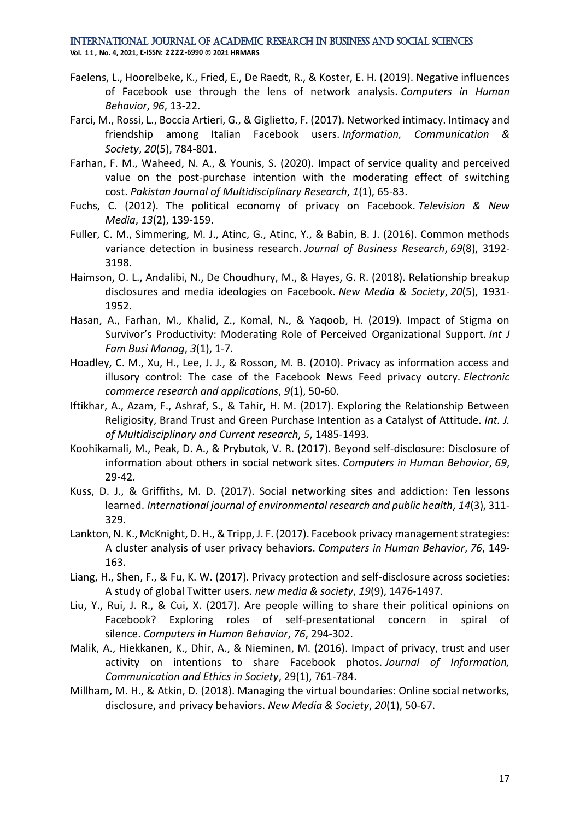**Vol. 1 1 , No. 4, 2021, E-ISSN: 2222-6990 © 2021 HRMARS**

- Faelens, L., Hoorelbeke, K., Fried, E., De Raedt, R., & Koster, E. H. (2019). Negative influences of Facebook use through the lens of network analysis. *Computers in Human Behavior*, *96*, 13-22.
- Farci, M., Rossi, L., Boccia Artieri, G., & Giglietto, F. (2017). Networked intimacy. Intimacy and friendship among Italian Facebook users. *Information, Communication & Society*, *20*(5), 784-801.
- Farhan, F. M., Waheed, N. A., & Younis, S. (2020). Impact of service quality and perceived value on the post-purchase intention with the moderating effect of switching cost. *Pakistan Journal of Multidisciplinary Research*, *1*(1), 65-83.
- Fuchs, C. (2012). The political economy of privacy on Facebook. *Television & New Media*, *13*(2), 139-159.
- Fuller, C. M., Simmering, M. J., Atinc, G., Atinc, Y., & Babin, B. J. (2016). Common methods variance detection in business research. *Journal of Business Research*, *69*(8), 3192- 3198.
- Haimson, O. L., Andalibi, N., De Choudhury, M., & Hayes, G. R. (2018). Relationship breakup disclosures and media ideologies on Facebook. *New Media & Society*, *20*(5), 1931- 1952.
- Hasan, A., Farhan, M., Khalid, Z., Komal, N., & Yaqoob, H. (2019). Impact of Stigma on Survivor's Productivity: Moderating Role of Perceived Organizational Support. *Int J Fam Busi Manag*, *3*(1), 1-7.
- Hoadley, C. M., Xu, H., Lee, J. J., & Rosson, M. B. (2010). Privacy as information access and illusory control: The case of the Facebook News Feed privacy outcry. *Electronic commerce research and applications*, *9*(1), 50-60.
- Iftikhar, A., Azam, F., Ashraf, S., & Tahir, H. M. (2017). Exploring the Relationship Between Religiosity, Brand Trust and Green Purchase Intention as a Catalyst of Attitude. *Int. J. of Multidisciplinary and Current research*, *5*, 1485-1493.
- Koohikamali, M., Peak, D. A., & Prybutok, V. R. (2017). Beyond self-disclosure: Disclosure of information about others in social network sites. *Computers in Human Behavior*, *69*, 29-42.
- Kuss, D. J., & Griffiths, M. D. (2017). Social networking sites and addiction: Ten lessons learned. *International journal of environmental research and public health*, *14*(3), 311- 329.
- Lankton, N. K., McKnight, D. H., & Tripp, J. F. (2017). Facebook privacy management strategies: A cluster analysis of user privacy behaviors. *Computers in Human Behavior*, *76*, 149- 163.
- Liang, H., Shen, F., & Fu, K. W. (2017). Privacy protection and self-disclosure across societies: A study of global Twitter users. *new media & society*, *19*(9), 1476-1497.
- Liu, Y., Rui, J. R., & Cui, X. (2017). Are people willing to share their political opinions on Facebook? Exploring roles of self-presentational concern in spiral of silence. *Computers in Human Behavior*, *76*, 294-302.
- Malik, A., Hiekkanen, K., Dhir, A., & Nieminen, M. (2016). Impact of privacy, trust and user activity on intentions to share Facebook photos. *Journal of Information, Communication and Ethics in Society*, 29(1), 761-784.
- Millham, M. H., & Atkin, D. (2018). Managing the virtual boundaries: Online social networks, disclosure, and privacy behaviors. *New Media & Society*, *20*(1), 50-67.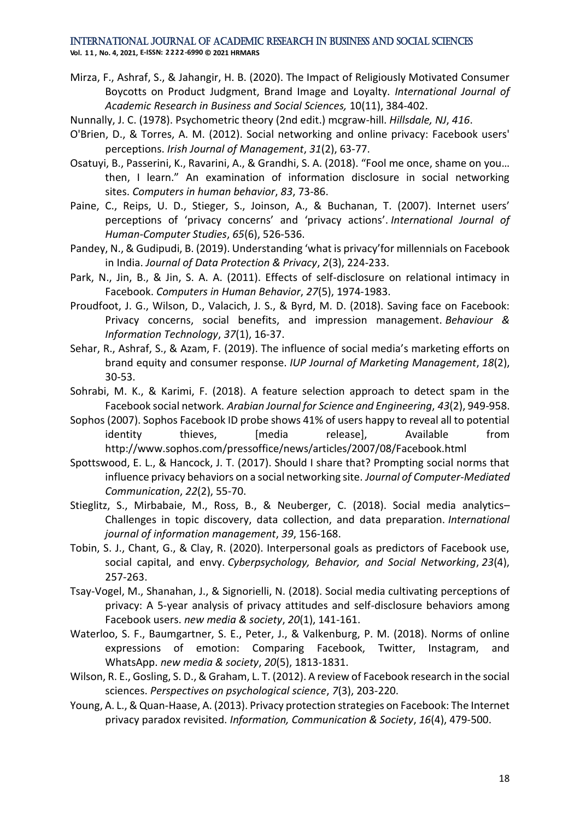**Vol. 1 1 , No. 4, 2021, E-ISSN: 2222-6990 © 2021 HRMARS**

- Mirza, F., Ashraf, S., & Jahangir, H. B. (2020). The Impact of Religiously Motivated Consumer Boycotts on Product Judgment, Brand Image and Loyalty. *International Journal of Academic Research in Business and Social Sciences,* 10(11), 384-402.
- Nunnally, J. C. (1978). Psychometric theory (2nd edit.) mcgraw-hill. *Hillsdale, NJ*, *416*.
- O'Brien, D., & Torres, A. M. (2012). Social networking and online privacy: Facebook users' perceptions. *Irish Journal of Management*, *31*(2), 63-77.
- Osatuyi, B., Passerini, K., Ravarini, A., & Grandhi, S. A. (2018). "Fool me once, shame on you… then, I learn." An examination of information disclosure in social networking sites. *Computers in human behavior*, *83*, 73-86.
- Paine, C., Reips, U. D., Stieger, S., Joinson, A., & Buchanan, T. (2007). Internet users' perceptions of 'privacy concerns' and 'privacy actions'. *International Journal of Human-Computer Studies*, *65*(6), 526-536.
- Pandey, N., & Gudipudi, B. (2019). Understanding 'what is privacy'for millennials on Facebook in India. *Journal of Data Protection & Privacy*, *2*(3), 224-233.
- Park, N., Jin, B., & Jin, S. A. A. (2011). Effects of self-disclosure on relational intimacy in Facebook. *Computers in Human Behavior*, *27*(5), 1974-1983.
- Proudfoot, J. G., Wilson, D., Valacich, J. S., & Byrd, M. D. (2018). Saving face on Facebook: Privacy concerns, social benefits, and impression management. *Behaviour & Information Technology*, *37*(1), 16-37.
- Sehar, R., Ashraf, S., & Azam, F. (2019). The influence of social media's marketing efforts on brand equity and consumer response. *IUP Journal of Marketing Management*, *18*(2), 30-53.
- Sohrabi, M. K., & Karimi, F. (2018). A feature selection approach to detect spam in the Facebook social network. *Arabian Journal for Science and Engineering*, *43*(2), 949-958.
- Sophos (2007). Sophos Facebook ID probe shows 41% of users happy to reveal all to potential identity thieves, [media release], Available from <http://www.sophos.com/pressoffice/news/articles/2007/08/Facebook.html>
- Spottswood, E. L., & Hancock, J. T. (2017). Should I share that? Prompting social norms that influence privacy behaviors on a social networking site. *Journal of Computer-Mediated Communication*, *22*(2), 55-70.
- Stieglitz, S., Mirbabaie, M., Ross, B., & Neuberger, C. (2018). Social media analytics– Challenges in topic discovery, data collection, and data preparation. *International journal of information management*, *39*, 156-168.
- Tobin, S. J., Chant, G., & Clay, R. (2020). Interpersonal goals as predictors of Facebook use, social capital, and envy. *Cyberpsychology, Behavior, and Social Networking*, *23*(4), 257-263.
- Tsay-Vogel, M., Shanahan, J., & Signorielli, N. (2018). Social media cultivating perceptions of privacy: A 5-year analysis of privacy attitudes and self-disclosure behaviors among Facebook users. *new media & society*, *20*(1), 141-161.
- Waterloo, S. F., Baumgartner, S. E., Peter, J., & Valkenburg, P. M. (2018). Norms of online expressions of emotion: Comparing Facebook, Twitter, Instagram, and WhatsApp. *new media & society*, *20*(5), 1813-1831.
- Wilson, R. E., Gosling, S. D., & Graham, L. T. (2012). A review of Facebook research in the social sciences. *Perspectives on psychological science*, *7*(3), 203-220.
- Young, A. L., & Quan-Haase, A. (2013). Privacy protection strategies on Facebook: The Internet privacy paradox revisited. *Information, Communication & Society*, *16*(4), 479-500.